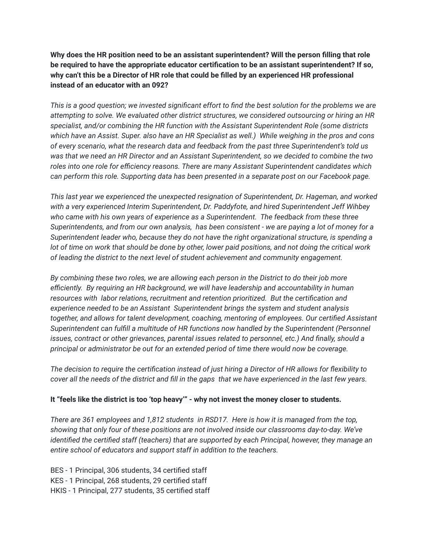**Why does the HR position need to be an assistant superintendent? Will the person filling that role be required to have the appropriate educator certification to be an assistant superintendent? If so, why can't this be a Director of HR role that could be filled by an experienced HR professional instead of an educator with an 092?**

*This is a good question; we invested significant effort to find the best solution for the problems we are attempting to solve. We evaluated other district structures, we considered outsourcing or hiring an HR specialist, and/or combining the HR function with the Assistant Superintendent Role (some districts which have an Assist. Super. also have an HR Specialist as well.) While weighing in the pros and cons of every scenario, what the research data and feedback from the past three Superintendent's told us was that we need an HR Director and an Assistant Superintendent, so we decided to combine the two roles into one role for efficiency reasons. There are many Assistant Superintendent candidates which can perform this role. Supporting data has been presented in a separate post on our Facebook page.*

*This last year we experienced the unexpected resignation of Superintendent, Dr. Hageman, and worked with a very experienced Interim Superintendent, Dr. Paddyfote, and hired Superintendent Jeff Wihbey who came with his own years of experience as a Superintendent. The feedback from these three Superintendents, and from our own analysis, has been consistent - we are paying a lot of money for a Superintendent leader who, because they do not have the right organizational structure, is spending a lot of time on work that should be done by other, lower paid positions, and not doing the critical work of leading the district to the next level of student achievement and community engagement.*

*By combining these two roles, we are allowing each person in the District to do their job more efficiently. By requiring an HR background, we will have leadership and accountability in human resources with labor relations, recruitment and retention prioritized. But the certification and experience needed to be an Assistant Superintendent brings the system and student analysis together, and allows for talent development, coaching, mentoring of employees. Our certified Assistant Superintendent can fulfill a multitude of HR functions now handled by the Superintendent (Personnel issues, contract or other grievances, parental issues related to personnel, etc.) And finally, should a principal or administrator be out for an extended period of time there would now be coverage.*

*The decision to require the certification instead of just hiring a Director of HR allows for flexibility to cover all the needs of the district and fill in the gaps that we have experienced in the last few years.*

## **It "feels like the district is too 'top heavy'" - why not invest the money closer to students.**

*There are 361 employees and 1,812 students in RSD17. Here is how it is managed from the top, showing that only four of these positions are not involved inside our classrooms day-to-day. We've identified the certified staff (teachers) that are supported by each Principal, however, they manage an entire school of educators and support staff in addition to the teachers.*

BES - 1 Principal, 306 students, 34 certified staff KES - 1 Principal, 268 students, 29 certified staff HKIS - 1 Principal, 277 students, 35 certified staff